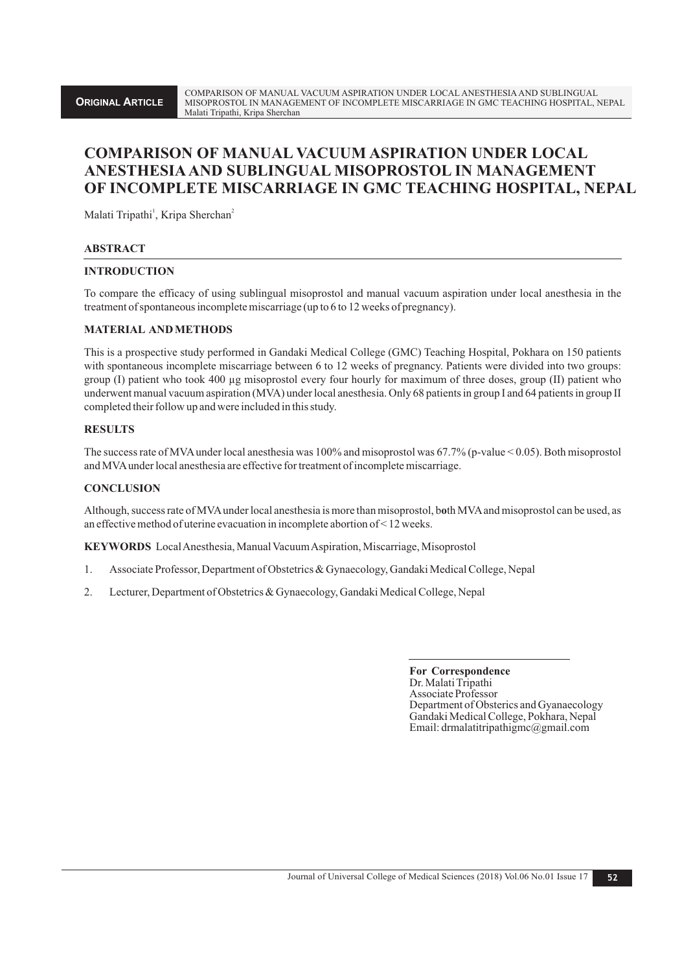# **COMPARISON OF MANUAL VACUUM ASPIRATION UNDER LOCAL ANESTHESIAAND SUBLINGUAL MISOPROSTOL IN MANAGEMENT OF INCOMPLETE MISCARRIAGE IN GMC TEACHING HOSPITAL, NEPAL**

Malati Tripathi<sup>1</sup>, Kripa Sherchan<sup>2</sup>

### **ABSTRACT**

### **INTRODUCTION**

To compare the efficacy of using sublingual misoprostol and manual vacuum aspiration under local anesthesia in the treatment of spontaneous incomplete miscarriage (up to 6 to 12 weeks of pregnancy).

### **MATERIAL AND METHODS**

This is a prospective study performed in Gandaki Medical College (GMC) Teaching Hospital, Pokhara on 150 patients with spontaneous incomplete miscarriage between 6 to 12 weeks of pregnancy. Patients were divided into two groups: group (I) patient who took 400 µg misoprostol every four hourly for maximum of three doses, group (II) patient who underwent manual vacuum aspiration (MVA) under local anesthesia. Only 68 patients in group I and 64 patients in group II completed their follow up and were included in this study.

## **RESULTS**

The success rate of MVAunder local anesthesia was 100% and misoprostol was 67.7% (p-value < 0.05). Both misoprostol and MVAunder local anesthesia are effective for treatment of incomplete miscarriage.

## **CONCLUSION**

Although, success rate of MVAunder local anesthesia is more than misoprostol, b**o**th MVAand misoprostol can be used, as an effective method of uterine evacuation in incomplete abortion of < 12 weeks.

**KEYWORDS** Local Anesthesia, Manual Vacuum Aspiration, Miscarriage, Misoprostol

- 1. Associate Professor, Department of Obstetrics & Gynaecology, Gandaki Medical College, Nepal
- 2. Lecturer, Department of Obstetrics & Gynaecology, Gandaki Medical College, Nepal

**For Correspondence** Dr. Malati Tripathi Associate Professor Department of Obsterics and Gyanaecology Gandaki Medical College, Pokhara, Nepal Email: drmalatitripathigmc@gmail.com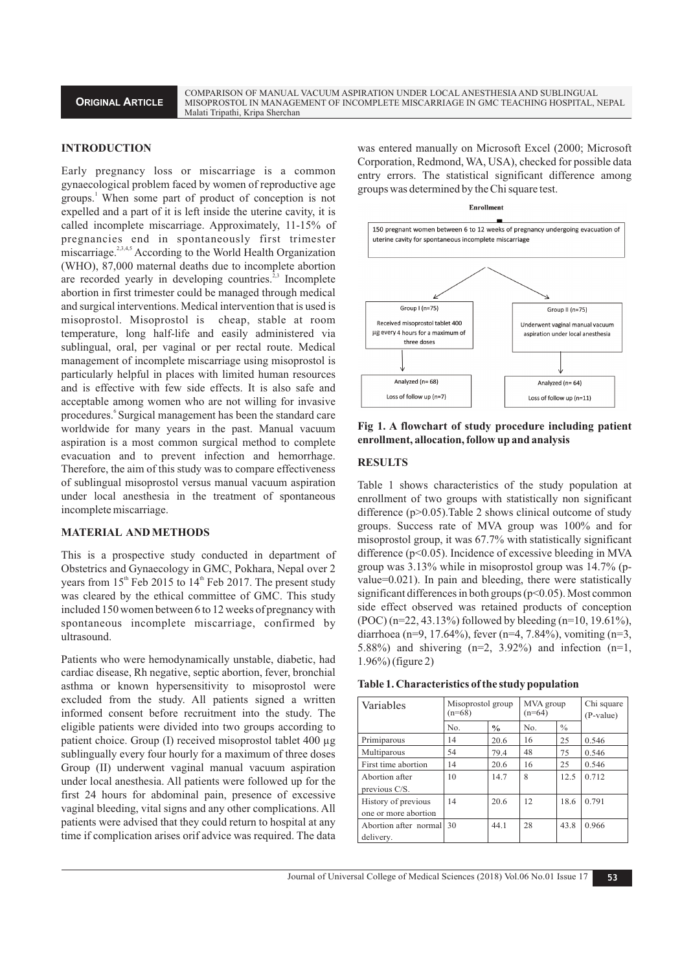COMPARISON OF MANUAL VACUUM ASPIRATION UNDER LOCAL ANESTHESIAAND SUBLINGUAL MISOPROSTOL IN MANAGEMENT OF INCOMPLETE MISCARRIAGE IN GMC TEACHING HOSPITAL, NEPAL Malati Tripathi, Kripa Sherchan

### **INTRODUCTION**

Early pregnancy loss or miscarriage is a common gynaecological problem faced by women of reproductive age groups.<sup>1</sup> When some part of product of conception is not expelled and a part of it is left inside the uterine cavity, it is called incomplete miscarriage. Approximately, 11-15% of pregnancies end in spontaneously first trimester  $\overline{\text{miscarriage}}$ . According to the World Health Organization (WHO), 87,000 maternal deaths due to incomplete abortion are recorded yearly in developing countries.<sup>2,3</sup> Incomplete abortion in first trimester could be managed through medical and surgical interventions. Medical intervention that is used is misoprostol. Misoprostol is cheap, stable at room temperature, long half-life and easily administered via sublingual, oral, per vaginal or per rectal route. Medical management of incomplete miscarriage using misoprostol is particularly helpful in places with limited human resources and is effective with few side effects. It is also safe and acceptable among women who are not willing for invasive procedures. Surgical management has been the standard care worldwide for many years in the past. Manual vacuum aspiration is a most common surgical method to complete evacuation and to prevent infection and hemorrhage. Therefore, the aim of this study was to compare effectiveness of sublingual misoprostol versus manual vacuum aspiration under local anesthesia in the treatment of spontaneous incomplete miscarriage.

#### **MATERIAL AND METHODS**

This is a prospective study conducted in department of Obstetrics and Gynaecology in GMC, Pokhara, Nepal over 2 years from  $15<sup>th</sup>$  Feb 2015 to  $14<sup>th</sup>$  Feb 2017. The present study was cleared by the ethical committee of GMC. This study included 150 women between 6 to 12 weeks of pregnancy with spontaneous incomplete miscarriage, confirmed by ultrasound.

Patients who were hemodynamically unstable, diabetic, had cardiac disease, Rh negative, septic abortion, fever, bronchial asthma or known hypersensitivity to misoprostol were excluded from the study. All patients signed a written informed consent before recruitment into the study. The eligible patients were divided into two groups according to patient choice. Group (I) received misoprostol tablet 400 µg sublingually every four hourly for a maximum of three doses Group (II) underwent vaginal manual vacuum aspiration under local anesthesia. All patients were followed up for the first 24 hours for abdominal pain, presence of excessive vaginal bleeding, vital signs and any other complications. All patients were advised that they could return to hospital at any time if complication arises orif advice was required. The data was entered manually on Microsoft Excel (2000; Microsoft Corporation, Redmond, WA, USA), checked for possible data entry errors. The statistical significant difference among groups was determined by the Chi square test.



**Fig 1. A flowchart of study procedure including patient enrollment, allocation, follow up and analysis**

#### **RESULTS**

Table 1 shows characteristics of the study population at enrollment of two groups with statistically non significant difference (p>0.05). Table 2 shows clinical outcome of study groups. Success rate of MVA group was 100% and for misoprostol group, it was 67.7% with statistically significant difference (p<0.05). Incidence of excessive bleeding in MVA group was 3.13% while in misoprostol group was 14.7% (pvalue=0.021). In pain and bleeding, there were statistically significant differences in both groups (p<0.05). Most common side effect observed was retained products of conception (POC) (n=22, 43.13%) followed by bleeding (n=10, 19.61%), diarrhoea (n=9, 17.64%), fever (n=4, 7.84%), vomiting (n=3, 5.88%) and shivering  $(n=2, 3.92\%)$  and infection  $(n=1, 5.88\%)$ 1.96%) (figure 2)

| Variables                                   | Misoprostol group<br>$(n=68)$ |               | MVA group<br>$(n=64)$ |               | Chi square<br>(P-value) |
|---------------------------------------------|-------------------------------|---------------|-----------------------|---------------|-------------------------|
|                                             | No.                           | $\frac{0}{0}$ | No.                   | $\frac{0}{0}$ |                         |
| Primiparous                                 | 14                            | 20.6          | 16                    | 25            | 0.546                   |
| Multiparous                                 | 54                            | 79.4          | 48                    | 75            | 0.546                   |
| First time abortion                         | 14                            | 20.6          | 16                    | 25            | 0.546                   |
| Abortion after<br>previous C/S.             | 10                            | 14.7          | 8                     | 12.5          | 0.712                   |
| History of previous<br>one or more abortion | 14                            | 20.6          | 12                    | 18.6          | 0.791                   |
| Abortion after normal<br>delivery.          | 30                            | 44.1          | 28                    | 43.8          | 0.966                   |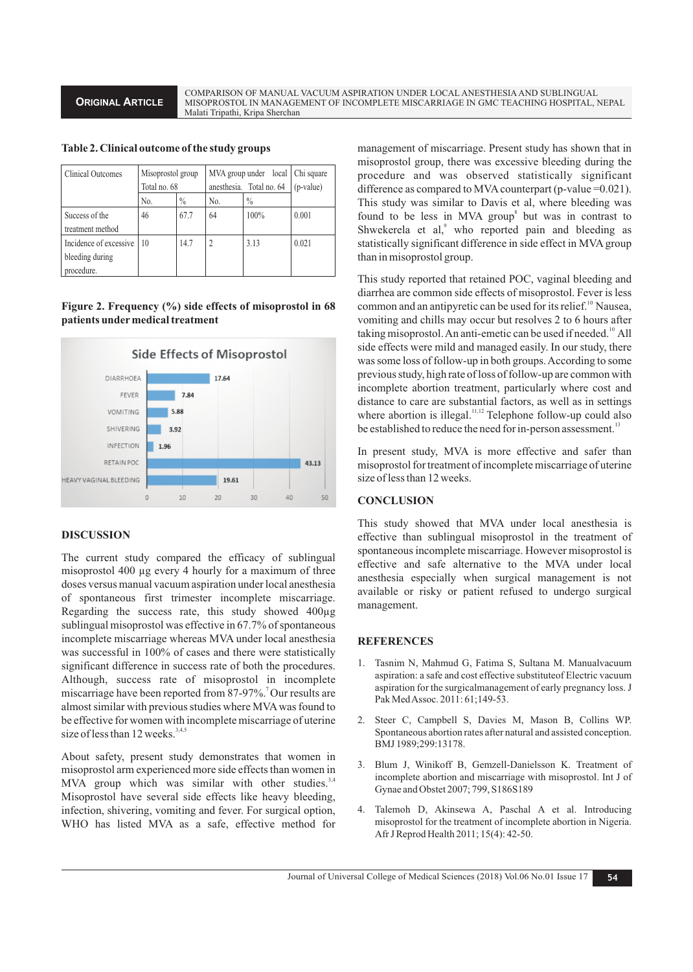**ORIGINAL ARTICLE**

COMPARISON OF MANUAL VACUUM ASPIRATION UNDER LOCAL ANESTHESIAAND SUBLINGUAL MISOPROSTOL IN MANAGEMENT OF INCOMPLETE MISCARRIAGE IN GMC TEACHING HOSPITAL, NEPAL Malati Tripathi, Kripa Sherchan

|  |  | Table 2. Clinical outcome of the study groups |  |  |  |  |
|--|--|-----------------------------------------------|--|--|--|--|
|--|--|-----------------------------------------------|--|--|--|--|

| <b>Clinical Outcomes</b>                                | Misoprostol group<br>Total no. 68 |               | anesthesia. Total no. 64 | MVA group under local   Chi square<br>$(p-value)$ |       |
|---------------------------------------------------------|-----------------------------------|---------------|--------------------------|---------------------------------------------------|-------|
|                                                         | No.                               | $\frac{0}{0}$ | No.                      | $\frac{0}{0}$                                     |       |
| Success of the<br>treatment method                      | 46                                | 67.7          | 64                       | 100%                                              | 0.001 |
| Incidence of excessive<br>bleeding during<br>procedure. | 10                                | 14.7          |                          | 3.13                                              | 0.021 |

# **Figure 2. Frequency (%) side effects of misoprostol in 68 patients undermedical treatment**



# **DISCUSSION**

The current study compared the efficacy of sublingual misoprostol 400 µg every 4 hourly for a maximum of three doses versus manual vacuum aspiration under local anesthesia of spontaneous first trimester incomplete miscarriage. Regarding the success rate, this study showed 400µg sublingual misoprostol was effective in 67.7% of spontaneous incomplete miscarriage whereas MVA under local anesthesia was successful in 100% of cases and there were statistically significant difference in success rate of both the procedures. Although, success rate of misoprostol in incomplete miscarriage have been reported from 87-97%.<sup>7</sup> Our results are almost similar with previous studies where MVAwas found to be effective for women with incomplete miscarriage of uterine size of less than 12 weeks. $3,4,5$ 

About safety, present study demonstrates that women in misoprostol arm experienced more side effects than women in MVA group which was similar with other studies.<sup>3,4</sup> Misoprostol have several side effects like heavy bleeding, infection, shivering, vomiting and fever. For surgical option, WHO has listed MVA as a safe, effective method for management of miscarriage. Present study has shown that in misoprostol group, there was excessive bleeding during the procedure and was observed statistically significant difference as compared to MVA counterpart (p-value  $=0.021$ ). This study was similar to Davis et al, where bleeding was found to be less in MVA group<sup>8</sup> but was in contrast to Shwekerela et al,<sup>9</sup> who reported pain and bleeding as statistically significant difference in side effect in MVA group than in misoprostol group.

This study reported that retained POC, vaginal bleeding and diarrhea are common side effects of misoprostol. Fever is less common and an antipyretic can be used for its relief.<sup>10</sup> Nausea, vomiting and chills may occur but resolves 2 to 6 hours after taking misoprostol. An anti-emetic can be used if needed.<sup>10</sup> All side effects were mild and managed easily. In our study, there was some loss of follow-up in both groups. According to some previous study, high rate of loss of follow-up are common with incomplete abortion treatment, particularly where cost and distance to care are substantial factors, as well as in settings where abortion is illegal.<sup>11,12</sup> Telephone follow-up could also be established to reduce the need for in-person assessment.<sup>13</sup>

In present study, MVA is more effective and safer than misoprostol for treatment of incomplete miscarriage of uterine size of less than 12 weeks.

# **CONCLUSION**

This study showed that MVA under local anesthesia is effective than sublingual misoprostol in the treatment of spontaneous incomplete miscarriage. However misoprostol is effective and safe alternative to the MVA under local anesthesia especially when surgical management is not available or risky or patient refused to undergo surgical management.

# **REFERENCES**

- 1. Tasnim N, Mahmud G, Fatima S, Sultana M. Manualvacuum aspiration: a safe and cost effective substituteof Electric vacuum aspiration for the surgicalmanagement of early pregnancy loss. J Pak Med Assoc. 2011: 61;149-53.
- 2. Steer C, Campbell S, Davies M, Mason B, Collins WP. Spontaneous abortion rates after natural and assisted conception. BMJ 1989;299:13178.
- 3. Blum J, Winikoff B, Gemzell-Danielsson K. Treatment of incomplete abortion and miscarriage with misoprostol. Int J of Gynae and Obstet 2007; 799, S186S189
- 4. Talemoh D, Akinsewa A, Paschal A et al. Introducing misoprostol for the treatment of incomplete abortion in Nigeria. Afr J Reprod Health 2011; 15(4): 42-50.